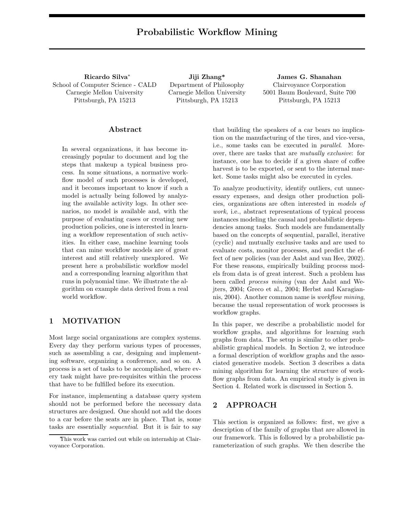Ricardo Silva ∗ School of Computer Science - CALD Carnegie Mellon University Pittsburgh, PA 15213

Jiji Zhang\* Department of Philosophy Carnegie Mellon University Pittsburgh, PA 15213

James G. Shanahan Clairvoyance Corporation 5001 Baum Boulevard, Suite 700 Pittsburgh, PA 15213

### Abstract

In several organizations, it has become increasingly popular to document and log the steps that makeup a typical business process. In some situations, a normative workflow model of such processes is developed, and it becomes important to know if such a model is actually being followed by analyzing the available activity logs. In other scenarios, no model is available and, with the purpose of evaluating cases or creating new production policies, one is interested in learning a workflow representation of such activities. In either case, machine learning tools that can mine workflow models are of great interest and still relatively unexplored. We present here a probabilistic workflow model and a corresponding learning algorithm that runs in polynomial time. We illustrate the algorithm on example data derived from a real world workflow.

# 1 MOTIVATION

Most large social organizations are complex systems. Every day they perform various types of processes, such as assembling a car, designing and implementing software, organizing a conference, and so on. A process is a set of tasks to be accomplished, where every task might have pre-requisites within the process that have to be fulfilled before its execution.

For instance, implementing a database query system should not be performed before the necessary data structures are designed. One should not add the doors to a car before the seats are in place. That is, some tasks are essentially sequential. But it is fair to say

that building the speakers of a car bears no implication on the manufacturing of the tires, and vice-versa, i.e., some tasks can be executed in parallel. Moreover, there are tasks that are mutually exclusive: for instance, one has to decide if a given share of coffee harvest is to be exported, or sent to the internal market. Some tasks might also be executed in cycles.

To analyze productivity, identify outliers, cut unnecessary expenses, and design other production policies, organizations are often interested in models of work, i.e., abstract representations of typical process instances modeling the causal and probabilistic dependencies among tasks. Such models are fundamentally based on the concepts of sequential, parallel, iterative (cyclic) and mutually exclusive tasks and are used to evaluate costs, monitor processes, and predict the effect of new policies (van der Aalst and van Hee, 2002). For these reasons, empirically building process models from data is of great interest. Such a problem has been called process mining (van der Aalst and Wejters, 2004; Greco et al., 2004; Herbst and Karagiannis, 2004). Another common name is workflow mining, because the usual representation of work processes is workflow graphs.

In this paper, we describe a probabilistic model for workflow graphs, and algorithms for learning such graphs from data. The setup is similar to other probabilistic graphical models. In Section 2, we introduce a formal description of workflow graphs and the associated generative models. Section 3 describes a data mining algorithm for learning the structure of workflow graphs from data. An empirical study is given in Section 4. Related work is discussed in Section 5.

# 2 APPROACH

This section is organized as follows: first, we give a description of the family of graphs that are allowed in our framework. This is followed by a probabilistic parameterization of such graphs. We then describe the

This work was carried out while on internship at Clairvoyance Corporation.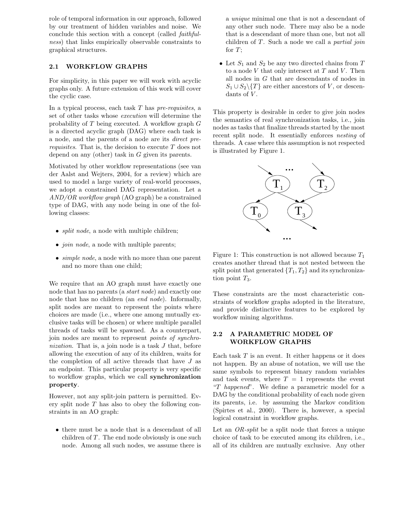role of temporal information in our approach, followed by our treatment of hidden variables and noise. We conclude this section with a concept (called faithfulness) that links empirically observable constraints to graphical structures.

### 2.1 WORKFLOW GRAPHS

For simplicity, in this paper we will work with acyclic graphs only. A future extension of this work will cover the cyclic case.

In a typical process, each task  $T$  has pre-requisites, a set of other tasks whose execution will determine the probability of  $T$  being executed. A workflow graph  $G$ is a directed acyclic graph (DAG) where each task is a node, and the parents of a node are its direct prerequisites. That is, the decision to execute T does not depend on any (other) task in G given its parents.

Motivated by other workflow representations (see van der Aalst and Wejters, 2004, for a review) which are used to model a large variety of real-world processes, we adopt a constrained DAG representation. Let a AND/OR workflow graph (AO graph) be a constrained type of DAG, with any node being in one of the following classes:

- *split node*, a node with multiple children;
- *join node*, a node with multiple parents;
- *simple node*, a node with no more than one parent and no more than one child;

We require that an AO graph must have exactly one node that has no parents (a start node) and exactly one node that has no children (an end node). Informally, split nodes are meant to represent the points where choices are made (i.e., where one among mutually exclusive tasks will be chosen) or where multiple parallel threads of tasks will be spawned. As a counterpart, join nodes are meant to represent points of synchronization. That is, a join node is a task J that, before allowing the execution of any of its children, waits for the completion of all active threads that have  $J$  as an endpoint. This particular property is very specific to workflow graphs, which we call synchronization property.

However, not any split-join pattern is permitted. Every split node  $T$  has also to obey the following constraints in an AO graph:

• there must be a node that is a descendant of all children of  $T$ . The end node obviously is one such node. Among all such nodes, we assume there is a unique minimal one that is not a descendant of any other such node. There may also be a node that is a descendant of more than one, but not all children of  $T$ . Such a node we call a *partial join* for  $T$ ;

• Let  $S_1$  and  $S_2$  be any two directed chains from T to a node  $V$  that only intersect at  $T$  and  $V$ . Then all nodes in G that are descendants of nodes in  $S_1 \cup S_2 \setminus \{T\}$  are either ancestors of V, or descendants of  $V$ .

This property is desirable in order to give join nodes the semantics of real synchronization tasks, i.e., join nodes as tasks that finalize threads started by the most recent split node. It essentially enforces nesting of threads. A case where this assumption is not respected is illustrated by Figure 1.



Figure 1: This construction is not allowed because  $T_1$ creates another thread that is not nested between the split point that generated  $\{T_1, T_2\}$  and its synchronization point  $T_3$ .

These constraints are the most characteristic constraints of workflow graphs adopted in the literature, and provide distinctive features to be explored by workflow mining algorithms.

# 2.2 A PARAMETRIC MODEL OF WORKFLOW GRAPHS

Each task  $T$  is an event. It either happens or it does not happen. By an abuse of notation, we will use the same symbols to represent binary random variables and task events, where  $T = 1$  represents the event "T happened". We define a parametric model for a DAG by the conditional probability of each node given its parents, i.e. by assuming the Markov condition (Spirtes et al., 2000). There is, however, a special logical constraint in workflow graphs.

Let an OR-split be a split node that forces a unique choice of task to be executed among its children, i.e., all of its children are mutually exclusive. Any other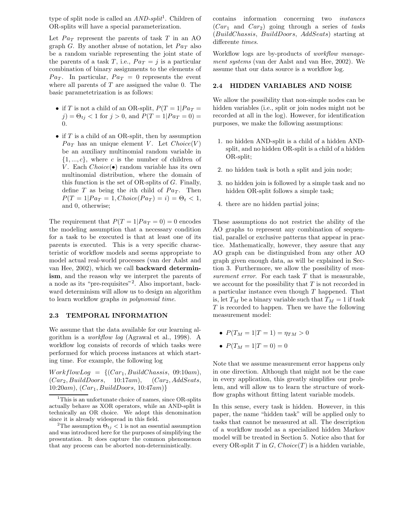type of split node is called an  $AND\text{-}split^1$ . Children of OR-splits will have a special parameterization.

Let  $Pa_T$  represent the parents of task T in an AO graph G. By another abuse of notation, let  $Pa_T$  also be a random variable representing the joint state of the parents of a task T, i.e.,  $Pa_T = j$  is a particular combination of binary assignments to the elements of  $Pa_T$ . In particular,  $Pa_T = 0$  represents the event where all parents of  $T$  are assigned the value 0. The basic parametetrization is as follows:

- if T is not a child of an OR-split,  $P(T = 1)Pa_T =$  $j$ ) =  $\Theta_{tj}$  < 1 for  $j > 0$ , and  $P(T = 1| Pa_T = 0)$  = 0.
- if  $T$  is a child of an OR-split, then by assumption  $Pa_T$  has an unique element V. Let  $Choice(V)$ be an auxiliary multinomial random variable in  $\{1, ..., c\}$ , where c is the number of children of V. Each  $Choice(\bullet)$  random variable has its own multinomial distribution, where the domain of this function is the set of OR-splits of  $G$ . Finally, define T as being the *i*th child of  $Pa_T$ . Then  $P(T = 1|Pa_T = 1, Choice(Pa_T) = i) = \Theta_t < 1,$ and 0, otherwise;

The requirement that  $P(T = 1|Pa_T = 0) = 0$  encodes the modeling assumption that a necessary condition for a task to be executed is that at least one of its parents is executed. This is a very specific characteristic of workflow models and seems appropriate to model actual real-world processes (van der Aalst and van Hee, 2002), which we call backward determinism, and the reason why we interpret the parents of a node as its "pre-requisites"<sup>2</sup> . Also important, backward determinism will allow us to design an algorithm to learn workflow graphs in polynomial time.

#### 2.3 TEMPORAL INFORMATION

We assume that the data available for our learning algorithm is a workflow log (Agrawal et al., 1998). A workflow log consists of records of which tasks were performed for which process instances at which starting time. For example, the following log

 $WorkflowLog = \{(Car_1, BuildChassis, 09:10am),\}$  $(Car_2, BuildD oors, 10:17am), (Car_2, AddSeats,$  $10:20am$ ,  $(Car_1, BuildD oors, 10:47am)$ 

contains information concerning two instances  $(Car_1$  and  $Car_2)$  going through a series of tasks (BuildChassis, BuildDoors, AddSeats) starting at differente times.

Workflow logs are by-products of workflow management systems (van der Aalst and van Hee, 2002). We assume that our data source is a workflow log.

#### 2.4 HIDDEN VARIABLES AND NOISE

We allow the possibility that non-simple nodes can be hidden variables (i.e., split or join nodes might not be recorded at all in the log). However, for identification purposes, we make the following assumptions:

- 1. no hidden AND-split is a child of a hidden ANDsplit, and no hidden OR-split is a child of a hidden OR-split;
- 2. no hidden task is both a split and join node;
- 3. no hidden join is followed by a simple task and no hidden OR-split follows a simple task;
- 4. there are no hidden partial joins;

These assumptions do not restrict the ability of the AO graphs to represent any combination of sequential, parallel or exclusive patterns that appear in practice. Mathematically, however, they assure that any AO graph can be distinguished from any other AO graph given enough data, as will be explained in Section 3. Furthermore, we allow the possibility of measurement error. For each task  $T$  that is measurable, we account for the possibility that  $T$  is not recorded in a particular instance even though T happened. That is, let  $T_M$  be a binary variable such that  $T_M = 1$  if task  $T$  is recorded to happen. Then we have the following measurement model:

- $P(T_M = 1 | T = 1) = \eta_{TM} > 0$
- $P(T_M = 1 | T = 0) = 0$

Note that we assume measurement error happens only in one direction. Although that might not be the case in every application, this greatly simplifies our problem, and will allow us to learn the structure of workflow graphs without fitting latent variable models.

In this sense, every task is hidden. However, in this paper, the name "hidden task" will be applied only to tasks that cannot be measured at all. The description of a workflow model as a specialized hidden Markov model will be treated in Section 5. Notice also that for every OR-split  $T$  in  $G$ ,  $Choice(T)$  is a hidden variable,

<sup>&</sup>lt;sup>1</sup>This is an unfortunate choice of names, since OR-splits actually behave as XOR operators, while an AND-split is technically an OR choice. We adopt this denomination since it is already widespread in this field.

<sup>&</sup>lt;sup>2</sup>The assumption  $\Theta_{tj}$  < 1 is not an essential assumption and was introduced here for the purposes of simplifying the presentation. It does capture the common phenomenon that any process can be aborted non-deterministically.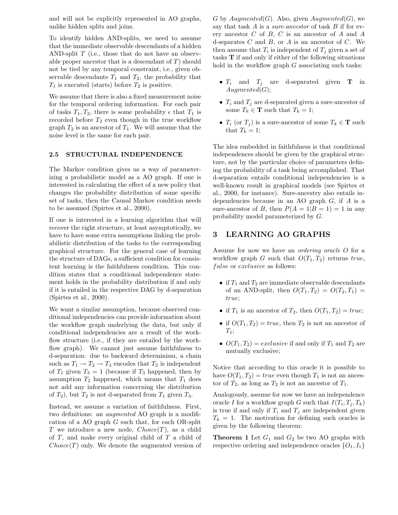and will not be explicitly represented in AO graphs, unlike hidden splits and joins.

To identify hidden AND-splits, we need to assume that the immediate observable descendants of a hidden AND-split  $T$  (i.e., those that do not have an observable proper ancestor that is a descendant of  $T$ ) should not be tied by any temporal constraint, i.e., given observable descendants  $T_1$  and  $T_2$ , the probability that  $T_1$  is executed (starts) before  $T_2$  is positive.

We assume that there is also a fixed measurement noise for the temporal ordering information. For each pair of tasks  $T_1, T_2$ , there is some probability  $\epsilon$  that  $T_1$  is recorded before  $T_2$  even though in the true workflow graph  $T_2$  is an ancestor of  $T_1$ . We will assume that the noise level is the same for each pair.

#### 2.5 STRUCTURAL INDEPENDENCE

The Markov condition gives us a way of parameterizing a probabilistic model as a AO graph. If one is interested in calculating the effect of a new policy that changes the probability distribution of some specific set of tasks, then the Causal Markov condition needs to be assumed (Spirtes et al., 2000).

If one is interested in a learning algorithm that will recover the right structure, at least asymptotically, we have to have some extra assumptions linking the probabilistic distribution of the tasks to the corresponding graphical structure. For the general case of learning the structure of DAGs, a sufficient condition for consistent learning is the faithfulness condition. This condition states that a conditional independence statement holds in the probability distribution if and only if it is entailed in the respective DAG by d-separation (Spirtes et al., 2000).

We want a similar assumption, because observed conditional independencies can provide information about the workflow graph underlying the data, but only if conditional independencies are a result of the workflow structure (i.e., if they are entailed by the workflow graph). We cannot just assume faithfulness to d-separation: due to backward determinism, a chain such as  $T_1 \rightarrow T_2 \rightarrow T_3$  encodes that  $T_2$  is independent of  $T_1$  given  $T_3 = 1$  (because if  $T_3$  happened, then by assumption  $T_2$  happened, which means that  $T_1$  does not add any information concerning the distribution of  $T_2$ ), but  $T_2$  is not d-separated from  $T_1$  given  $T_3$ .

Instead, we assume a variation of faithfulness. First, two definitions: an *augmented* AO graph is a modification of a AO graph  $G$  such that, for each OR-split T we introduce a new node,  $Choice(T)$ , as a child of T, and make every original child of T a child of  $Choice(T)$  only. We denote the augmented version of

G by  $Augmented(G)$ . Also, given  $Augmented(G)$ , we say that task  $A$  is a *sure-ancestor* of task  $B$  if for every ancestor  $C$  of  $B$ ,  $C$  is an ancestor of  $A$  and  $A$ d-separates  $C$  and  $B$ , or  $A$  is an ancestor of  $C$ . We then assume that  $T_i$  is independent of  $T_j$  given a set of tasks T if and only if either of the following situations hold in the workflow graph  $G$  associating such tasks:

- $T_i$  and  $T_j$  are d-separated given **T** in  $Augmented(G);$
- $T_i$  and  $T_j$  are d-separated given a sure-ancestor of some  $T_k \in \mathbf{T}$  such that  $T_k = 1$ ;
- $T_i$  (or  $T_j$ ) is a sure-ancestor of some  $T_k \in \mathbf{T}$  such that  $T_k = 1$ ;

The idea embedded in faithfulness is that conditional independences should be given by the graphical structure, not by the particular choice of parameters defining the probability of a task being accomplished. That d-separation entails conditional independencies is a well-known result in graphical models (see Spirtes et al., 2000, for instance). Sure-ancestry also entails independencies because in an AO graph  $G$ , if  $A$  is a sure-ancestor of B, then  $P(A = 1|B = 1) = 1$  in any probability model parameterized by G.

# 3 LEARNING AO GRAPHS

Assume for now we have an ordering oracle O for a workflow graph G such that  $O(T_1, T_2)$  returns true, false or exclusive as follows:

- if  $T_1$  and  $T_2$  are immediate observable descendants of an AND-split, then  $O(T_1, T_2) = O(T_2, T_1) =$ true;
- if  $T_1$  is an ancestor of  $T_2$ , then  $O(T_1, T_2) = true;$
- if  $O(T_1, T_2) = true$ , then  $T_2$  is not an ancestor of  $T_1$ ;
- $O(T_1, T_2) = exclusive$  if and only if  $T_1$  and  $T_2$  are mutually exclusive;

Notice that according to this oracle it is possible to have  $O(T_1, T_2) = true$  even though  $T_1$  is not an ancestor of  $T_2$ , as long as  $T_2$  is not an ancestor of  $T_1$ .

Analogously, assume for now we have an independence oracle I for a workflow graph G such that  $I(T_i, T_j, T_k)$ is true if and only if  $T_i$  and  $T_j$  are independent given  $T_k = 1$ . The motivation for defining such oracles is given by the following theorem:

**Theorem 1** Let  $G_1$  and  $G_2$  be two AO graphs with respective ordering and independence oracles  $\{O_1, I_1\}$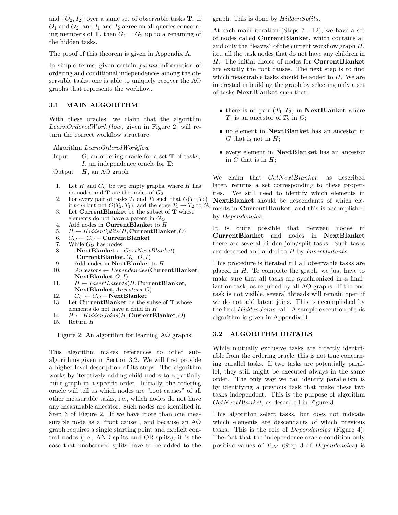and  $\{O_2, I_2\}$  over a same set of observable tasks **T**. If  $O_1$  and  $O_2$ , and  $I_1$  and  $I_2$  agree on all queries concerning members of **T**, then  $G_1 = G_2$  up to a renaming of the hidden tasks.

The proof of this theorem is given in Appendix A.

In simple terms, given certain partial information of ordering and conditional independences among the observable tasks, one is able to uniquely recover the AO graphs that represents the workflow.

#### 3.1 MAIN ALGORITHM

With these oracles, we claim that the algorithm LearnOrderedWorkflow, given in Figure 2, will return the correct workflow structure.

Algorithm LearnOrderedWorkflow

Input  $O$ , an ordering oracle for a set **T** of tasks; I, an independence oracle for  $\mathbf{T}$ ;

Output  $H$ , an AO graph

- 1. Let  $H$  and  $G_O$  be two empty graphs, where  $H$  has no nodes and **T** are the nodes of  $G_0$
- 2. For every pair of tasks  $T_i$  and  $T_j$  such that  $O(T_1, T_2)$ if true but not  $O(T_2, T_1)$ , add the edge  $T_1 \rightarrow T_2$  to  $G_0$
- 3. Let CurrentBlanket be the subset of T whose
- elements do not have a parent in  $G<sub>O</sub>$
- 4. Add nodes in CurrentBlanket to H
- 5.  $H \leftarrow HiddenSplits(H, CurrentBlanket, O)$
- 6.  $G_O$  ←  $G_O$  CurrentBlanket
- 7. While  $G_O$  has nodes 8. NextBlanket ←  $GextNextBlanket$ CurrentBlanket,  $G_O, O, I$
- 9. Add nodes in  $NextBlanket$  to  $H$
- 10.  $Ancestors \leftarrow Dependencies(\text{CurrentBlanket},$  $NextBlanket, O, I)$
- 11.  $H \leftarrow InsertLatents(H, CurrentBlanket,$ NextBlanket, Ancestors, O)
- 12.  $G_O \leftarrow G_O$  NextBlanket
- 13. Let  $CurrentBlanket$  be the subse of  ${\bf T}$  whose elements do not have a child in H
- 14.  $H \leftarrow HiddenJoin(H, CurrentBlanket, O)$
- 15. Return H

Figure 2: An algorithm for learning AO graphs.

This algorithm makes references to other subalgorithms given in Section 3.2. We will first provide a higher-level description of its steps. The algorithm works by iteratively adding child nodes to a partially built graph in a specific order. Initially, the ordering oracle will tell us which nodes are "root causes" of all other measurable tasks, i.e., which nodes do not have any measurable ancestor. Such nodes are identified in Step 3 of Figure 2. If we have more than one measurable node as a "root cause", and because an AO graph requires a single starting point and explicit control nodes (i.e., AND-splits and OR-splits), it is the case that unobserved splits have to be added to the graph. This is done by HiddenSplits.

At each main iteration (Steps 7 - 12), we have a set of nodes called CurrentBlanket, which contains all and only the "leaves" of the current workflow graph  $H$ , i.e., all the task nodes that do not have any children in H. The initial choice of nodes for CurrentBlanket are exactly the root causes. The next step is to find which measurable tasks should be added to  $H$ . We are interested in building the graph by selecting only a set of tasks NextBlanket such that:

- there is no pair  $(T_1, T_2)$  in NextBlanket where  $T_1$  is an ancestor of  $T_2$  in  $G$ ;
- no element in NextBlanket has an ancestor in  $G$  that is not in  $H$ ;
- every element in NextBlanket has an ancestor in  $G$  that is in  $H$ ;

We claim that  $GetNextBlanket$ , as described later, returns a set corresponding to these properties. We still need to identify which elements in NextBlanket should be descendants of which elements in CurrentBlanket, and this is accomplished by Dependencies.

It is quite possible that between nodes in CurrentBlanket and nodes in NextBlanket there are several hidden join/split tasks. Such tasks are detected and added to H by InsertLatents.

This procedure is iterated till all observable tasks are placed in  $H$ . To complete the graph, we just have to make sure that all tasks are synchronized in a finalization task, as required by all AO graphs. If the end task is not visible, several threads will remain open if we do not add latent joins. This is accomplished by the final HiddenJoins call. A sample execution of this algorithm is given in Appendix B.

### 3.2 ALGORITHM DETAILS

While mutually exclusive tasks are directly identifiable from the ordering oracle, this is not true concerning parallel tasks. If two tasks are potentially parallel, they still might be executed always in the same order. The only way we can identify parallelism is by identifying a previous task that make these two tasks independent. This is the purpose of algorithm GetNextBlanket, as described in Figure 3.

This algorithm select tasks, but does not indicate which elements are descendants of which previous tasks. This is the role of Dependencies (Figure 4). The fact that the independence oracle condition only positive values of  $T_{2M}$  (Step 3 of Dependencies) is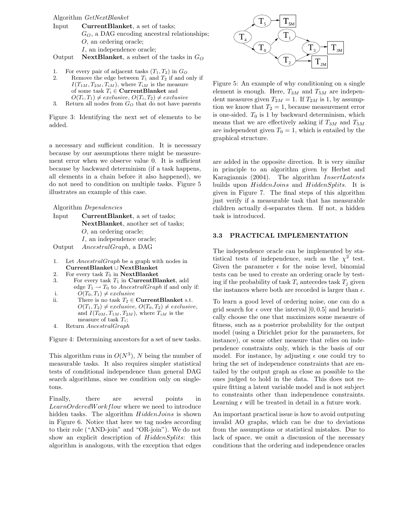Algorithm GetNextBlanket

- Input CurrentBlanket, a set of tasks;  $G_O$ , a DAG encoding ancestral relationships; O, an ordering oracle; I, an independence oracle;
- Output NextBlanket, a subset of the tasks in  $G_O$
- 1. For every pair of adjacent tasks  $(T_1, T_2)$  in  $G_O$
- 2. Remove the edge between  $T_1$  and  $T_2$  if and only if  $I(T_{1M}, T_{2M}, T_{iM})$ , where  $T_{iM}$  is the measure of some task  $T_i \in$  **CurrentBlanket** and  $O(T_i, T_1) \neq exclusive, O(T_i, T_2) \neq exclusive$
- 3. Return all nodes from  $G_O$  that do not have parents

Figure 3: Identifying the next set of elements to be added.

a necessary and sufficient condition. It is necessary because by our assumptions there might be measurement error when we observe value 0. It is sufficient because by backward determinism (if a task happens, all elements in a chain before it also happened), we do not need to condition on multiple tasks. Figure 5 illustrates an example of this case.

Algorithm Dependencies

| Input  | <b>CurrentBlanket</b> , a set of tasks: |
|--------|-----------------------------------------|
|        | NextBlanket, another set of tasks;      |
|        | $O$ , an ordering oracle;               |
|        | I, an independence oracle:              |
| Output | <i>AncestralGraph</i> , a DAG           |

- 1. Let AncestralGraph be a graph with nodes in CurrentBlanket ∪ NextBlanket
- 2. For every task  $T_0$  in NextBlanket
- 3. For every task  $T_1$  in **CurrentBlanket**, add edge  $T_1 \rightarrow T_0$  to *AncestralGraph* if and only if:
- i.  $O(T_0, T_1) \neq exclusive$
- ii. There is no task  $T_2 \in \text{CurrentBlanket s.t.}$  $O(T_1, T_2) \neq exclusive, O(T_0, T_2) \neq exclusive,$ and  $I(T_{0M}, T_{1M}, T_{2M})$ , where  $T_{iM}$  is the measure of task  $T_i$ ;
- 4. Return AncestralGraph

Figure 4: Determining ancestors for a set of new tasks.

This algorithm runs in  $O(N^3)$ , N being the number of measurable tasks. It also requires simpler statistical tests of conditional independence than general DAG search algorithms, since we condition only on singletons.

Finally, there are several points in LearnOrderedWorkflow where we need to introduce hidden tasks. The algorithm  $HiddenJoin$  is shown in Figure 6. Notice that here we tag nodes according to their role ("AND-join" and "OR-join"). We do not show an explicit description of *HiddenSplits*: this algorithm is analogous, with the exception that edges



Figure 5: An example of why conditioning on a single element is enough. Here,  $T_{3M}$  and  $T_{5M}$  are independent measures given  $T_{2M} = 1$ . If  $T_{2M}$  is 1, by assumption we know that  $T_2 = 1$ , because measurement error is one-sided.  $T_0$  is 1 by backward determinism, which means that we are effectively asking if  $T_{3M}$  and  $T_{5M}$ are independent given  $T_0 = 1$ , which is entailed by the graphical structure.

are added in the opposite direction. It is very similar in principle to an algorithm given by Herbst and Karagiannis (2004). The algorithm InsertLatents builds upon *HiddenJoins* and *HiddenSplits*. It is given in Figure 7. The final steps of this algorithm just verify if a measurable task that has measurable children actually d-separates them. If not, a hidden task is introduced.

#### 3.3 PRACTICAL IMPLEMENTATION

The independence oracle can be implemented by statistical tests of independence, such as the  $\chi^2$  test. Given the parameter  $\epsilon$  for the noise level, binomial tests can be used to create an ordering oracle by testing if the probability of task  $T_i$  antecedes task  $T_j$  given the instances where both are recorded is larger than  $\epsilon$ .

To learn a good level of ordering noise, one can do a grid search for  $\epsilon$  over the interval [0, 0.5] and heuristically choose the one that maximizes some measure of fitness, such as a posterior probability for the output model (using a Dirichlet prior for the parameters, for instance), or some other measure that relies on independence constraints only, which is the basis of our model. For instance, by adjusting  $\epsilon$  one could try to bring the set of independence constraints that are entailed by the output graph as close as possible to the ones judged to hold in the data. This does not require fitting a latent variable model and is not subject to constraints other than independence constraints. Learning  $\epsilon$  will be treated in detail in a future work.

An important practical issue is how to avoid outputing invalid AO graphs, which can be due to deviations from the assumptions or statistical mistakes. Due to lack of space, we omit a discussion of the necessary conditions that the ordering and independence oracles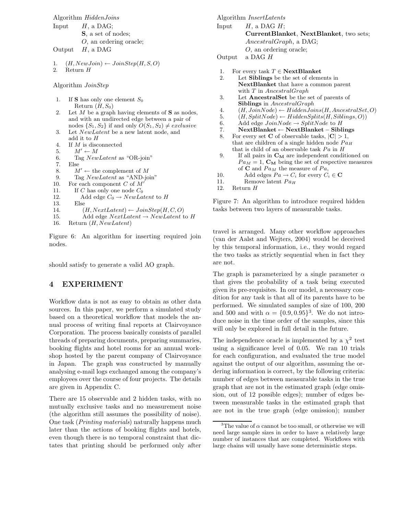```
Algorithm HiddenJoins
Input H, a DAG;
         S, a set of nodes;
         O, an ordering oracle;
Output H, a DAG
1. (H, NewJoin) \leftarrow JoinStep(H, S, O)2. Return H
Algorithm JoinStep
1. If S has only one element S_0Return (H, S_0)3. Let NewLatent be a new latent node, and
     add it to H
4. If M is disconnected
5. M' \leftarrow M6. Tag NewLatent as "OR-join"
7. Else
8. M' \leftarrow the complement of M
9. Tag NewLatent as "AND-join"
10. For each component C of M'11. If C has only one node C_012. Add edge C_0 \rightarrow NewLatent to H
13. Else
14. (H, NextLatent) \leftarrow JoinStep(H, C, O)15. Add edge NextLatent \rightarrow NewLatent to H
```
2. Let  $M$  be a graph having elements of  $S$  as nodes, and with an undirected edge between a pair of nodes  $\{S_1, S_2\}$  if and only  $O(S_1, S_2) \neq exclusive$ 

- 
- 

```
16. Return (H, NewLatent)
```
Figure 6: An algorithm for inserting required join nodes.

should satisfy to generate a valid AO graph.

# 4 EXPERIMENT

Workflow data is not as easy to obtain as other data sources. In this paper, we perform a simulated study based on a theoretical workflow that models the annual process of writing final reports at Clairvoyance Corporation. The process basically consists of parallel threads of preparing documents, preparing summaries, booking flights and hotel rooms for an annual workshop hosted by the parent company of Clairvoyance in Japan. The graph was constructed by manually analysing e-mail logs exchanged among the company's employees over the course of four projects. The details are given in Appendix C.

There are 15 observable and 2 hidden tasks, with no mutually exclusive tasks and no measurement noise (the algorithm still assumes the possibility of noise). One task (Printing materials) naturally happens much later than the actions of booking flights and hotels, even though there is no temporal constraint that dictates that printing should be performed only after

Algorithm InsertLatents

```
Input H, a DAG H;
         CurrentBlanket, NextBlanket, two sets;
         AncestralGraph, a DAG;
         O, an ordering oracle;
```
- Output a DAG H
- 1. For every task  $T \in \mathbf{NextBlanket}$
- 2. Let Siblings be the set of elements in NextBlanket that have a common parent with T in AncestralGraph
- 3. Let AncestralSet be the set of parents of Siblings in AncestralGraph
- 4.  $(H, JoinNode) \leftarrow HiddenJoins(H, AncestralSet, O)$ <br>5.  $(H, SplitNode) \leftarrow HiddenSplits(H, Sibling. O)$
- $(H, SplitNode) \leftarrow HiddenSplits(H, Sibling, O))$
- 6. Add edge  $JoinNode \rightarrow SplitNode$  to H
- 7. NextBlanket ← NextBlanket − Siblings
- 8. For every set **C** of observable tasks,  $|\mathbf{C}| > 1$ , that are children of a single hidden node  $Pa_H$ that is child of an observable task  $Pa$  in  $H$
- 9. If all pairs in  $\mathbf{C}_{\mathbf{M}}$  are independent conditioned on  $Pa_M = 1$ ,  $\mathbf{C}_M$  being the set of respective measures of **C** and  $Pa_M$  the measure of  $Pa$ ,
- 10. Add edges  $Pa \rightarrow C_i$  for every  $C_i \in \mathbf{C}$
- 11. Remove latent  $Pa_H$ <br>12. Return  $H$
- Return  $H$

Figure 7: An algorithm to introduce required hidden tasks between two layers of measurable tasks.

travel is arranged. Many other workflow approaches (van der Aalst and Wejters, 2004) would be deceived by this temporal information, i.e., they would regard the two tasks as strictly sequential when in fact they are not.

The graph is parameterized by a single parameter  $\alpha$ that gives the probability of a task being executed given its pre-requisites. In our model, a necessary condition for any task is that all of its parents have to be performed. We simulated samples of size of 100, 200 and 500 and with  $\alpha = \{0.9, 0.95\}^3$ . We do not introduce noise in the time order of the samples, since this will only be explored in full detail in the future.

The independence oracle is implemented by a  $\chi^2$  test using a significance level of 0.05. We ran 10 trials for each configuration, and evaluated the true model against the output of our algorithm, assuming the ordering information is correct, by the following criteria: number of edges between measurable tasks in the true graph that are not in the estimated graph (edge omission, out of 12 possible edges); number of edges between measurable tasks in the estimated graph that are not in the true graph (edge omission); number

<sup>&</sup>lt;sup>3</sup>The value of  $\alpha$  cannot be too small, or otherwise we will need large sample sizes in order to have a relatively large number of instances that are completed. Workflows with large chains will usually have some deterministic steps.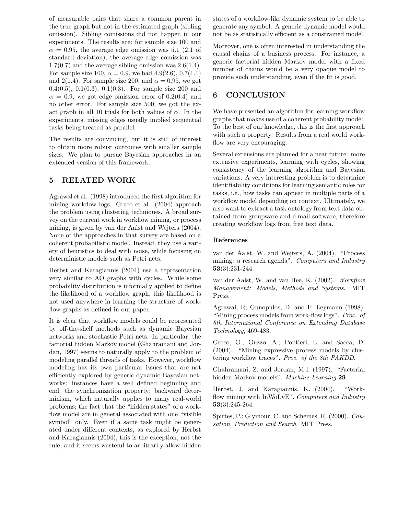of measurable pairs that share a common parent in the true graph but not in the estimated graph (sibling omission). Sibling comissions did not happen in our experiments. The results are: for sample size 100 and  $\alpha = 0.95$ , the average edge omission was 5.1 (2.1 of standard deviation); the average edge comission was  $1.7(0.7)$  and the average sibling omission was  $2.6(1.4)$ . For sample size 100,  $\alpha = 0.9$ , we had 4.9(2.6), 0.7(1.1) and 2(1.4). For sample size 200, and  $\alpha = 0.95$ , we got 0.4(0.5), 0.1(0.3), 0.1(0.3). For sample size 200 and  $\alpha = 0.9$ , we got edge omission error of 0.2(0.4) and no other error. For sample size 500, we got the exact graph in all 10 trials for both values of  $\alpha$ . In the experiments, missing edges usually implied sequential tasks being treated as parallel.

The results are convincing, but it is still of interest to obtain more robust outcomes with smaller sample sizes. We plan to pursue Bayesian approaches in an extended version of this framework.

# 5 RELATED WORK

Agrawal et al. (1998) introduced the first algorithm for mining workflow logs. Greco et al. (2004) approach the problem using clustering techniques. A broad survey on the current work in workflow mining, or process mining, is given by van der Aalst and Wejters (2004). None of the approaches in that survey are based on a coherent probabilistic model. Instead, they use a variety of heuristics to deal with noise, while focusing on deterministic models such as Petri nets.

Herbst and Karagiannis (2004) use a representation very similar to AO graphs with cycles. While some probability distribution is informally applied to define the likelihood of a workflow graph, this likelihood is not used anywhere in learning the structure of workflow graphs as defined in our paper.

It is clear that workflow models could be represented by off-the-shelf methods such as dynamic Bayesian networks and stochastic Petri nets. In particular, the factorial hidden Markov model (Ghahramani and Jordan, 1997) seems to naturally apply to the problem of modeling parallel threads of tasks. However, workflow modeling has its own particular issues that are not efficiently explored by generic dynamic Bayesian networks: instances have a well defined beginning and end; the synchronization property; backward determinism, which naturally applies to many real-world problems; the fact that the "hidden states" of a workflow model are in general associated with one "visible symbol" only. Even if a same task might be generated under different contexts, as explored by Herbst and Karagiannis (2004), this is the exception, not the rule, and it seems wasteful to arbitrarily allow hidden

states of a workflow-like dynamic system to be able to generate any symbol. A generic dynamic model would not be as statistically efficient as a constrained model.

Moreover, one is often interested in understanding the causal chains of a business process. For instance, a generic factorial hidden Markov model with a fixed number of chains would be a very opaque model to provide such understanding, even if the fit is good.

# 6 CONCLUSION

We have presented an algorithm for learning workflow graphs that makes use of a coherent probability model. To the best of our knowledge, this is the first approach with such a property. Results from a real world workflow are very encouraging.

Several extensions are planned for a near future: more extensive experiments, learning with cycles, showing consistency of the learning algorithm and Bayesian variations. A very interesting problem is to determine identifiability conditions for learning semantic roles for tasks, i.e., how tasks can appear in multiple parts of a workflow model depending on context. Ultimately, we also want to extract a task ontology from text data obtained from groupware and e-mail software, therefore creating workflow logs from free text data.

### References

van der Aalst, W. and Wejters, A. (2004). "Process mining: a research agenda". Computers and Industry 53(3):231-244.

van der Aalst, W. and van Hee, K. (2002). Workflow Management: Models, Methods and Systems. MIT Press.

Agrawal, R; Gunopulos, D. and F. Leymann (1998). "Mining process models from work-flow logs". *Proc. of* 6th International Conference on Extending Database Technology, 469-483.

Greco, G.; Guzzo, A.; Pontieri, L. and Sacca, D. (2004). "Mining expressive process models by clustering workflow traces". Proc. of the 8th PAKDD.

Ghahramani, Z. and Jordan, M.I. (1997). "Factorial hidden Markov models". Machine Learning 29.

Herbst, J. and Karagiannis, K. (2004). "Workflow mining with InWoLvE". Computers and Industry  $53(3):245-264.$ 

Spirtes, P.; Glymour, C. and Scheines, R. (2000). Causation, Prediction and Search. MIT Press.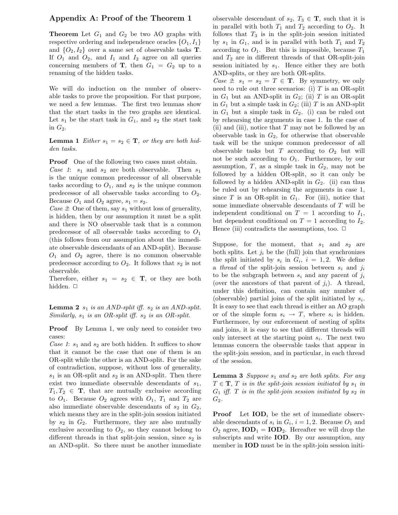# Appendix A: Proof of the Theorem 1

**Theorem** Let  $G_1$  and  $G_2$  be two AO graphs with respective ordering and independence oracles  $\{O_1, I_1\}$ and  $\{O_2, I_2\}$  over a same set of observable tasks **T**. If  $O_1$  and  $O_2$ , and  $I_1$  and  $I_2$  agree on all queries concerning members of **T**, then  $G_1 = G_2$  up to a renaming of the hidden tasks.

We will do induction on the number of observable tasks to prove the proposition. For that purpose, we need a few lemmas. The first two lemmas show that the start tasks in the two graphs are identical. Let  $s_1$  be the start task in  $G_1$ , and  $s_2$  the start task in  $G_2$ .

**Lemma 1** Either  $s_1 = s_2 \in \mathbf{T}$ , or they are both hidden tasks.

**Proof** One of the following two cases must obtain. Case 1:  $s_1$  and  $s_2$  are both observable. Then  $s_1$ is the unique common predecessor of all observable tasks according to  $O_1$ , and  $s_2$  is the unique common predecessor of all observable tasks according to  $O_2$ . Because  $O_1$  and  $O_2$  agree,  $s_1 = s_2$ .

Case 2: One of them, say  $s_1$  without loss of generality, is hidden, then by our assumption it must be a split and there is NO observable task that is a common predecessor of all observable tasks according to  $O_1$ (this follows from our assumption about the immediate observable descendants of an AND-split). Because  $O_1$  and  $O_2$  agree, there is no common observable predecessor according to  $O_2$ . It follows that  $s_2$  is not observable.

Therefore, either  $s_1 = s_2 \in \mathbf{T}$ , or they are both hidden.  $\Box$ 

**Lemma 2**  $s_1$  is an AND-split iff.  $s_2$  is an AND-split. Similarly,  $s_1$  is an OR-split iff.  $s_2$  is an OR-split.

Proof By Lemma 1, we only need to consider two cases:

Case 1:  $s_1$  and  $s_2$  are both hidden. It suffices to show that it cannot be the case that one of them is an OR-split while the other is an AND-split. For the sake of contradiction, suppose, without loss of generality,  $s_1$  is an OR-split and  $s_2$  is an AND-split. Then there exist two immediate observable descendants of  $s_1$ ,  $T_1, T_2 \in \mathbf{T}$ , that are mutually exclusive according to  $O_1$ . Because  $O_2$  agrees with  $O_1$ ,  $T_1$  and  $T_2$  are also immediate observable descendants of  $s_2$  in  $G_2$ , which means they are in the split-join session initiated by  $s_2$  in  $G_2$ . Furthermore, they are also mutually exclusive according to  $O_2$ , so they cannot belong to different threads in that split-join session, since  $s_2$  is an AND-split. So there must be another immediate observable descendant of  $s_2$ ,  $T_3 \in \mathbf{T}$ , such that it is in parallel with both  $T_1$  and  $T_2$  according to  $O_2$ . It follows that  $T_3$  is in the split-join session initiated by  $s_1$  in  $G_1$ , and is in parallel with both  $T_1$  and  $T_2$ according to  $O_1$ . But this is impossible, because  $T_1$ and  $T_2$  are in different threads of that OR-split-join session initiated by  $s_1$ . Hence either they are both AND-splits, or they are both OR-splits.

Case 2:  $s_1 = s_2 = T \in \mathbf{T}$ . By symmetry, we only need to rule out three scenarios: (i)  $T$  is an OR-split in  $G_1$  but an AND-split in  $G_2$ ; (ii) T is an OR-split in  $G_1$  but a simple task in  $G_2$ ; (iii) T is an AND-split in  $G_1$  but a simple task in  $G_2$ . (i) can be ruled out by rehearsing the arguments in case 1. In the case of (ii) and (iii), notice that  $T$  may not be followed by an observable task in  $G_2$ , for otherwise that observable task will be the unique common predecessor of all observable tasks but  $T$  according to  $O_2$  but will not be such according to  $O_1$ . Furthermore, by our assumption,  $T$ , as a simple task in  $G_2$ , may not be followed by a hidden OR-split, so it can only be followed by a hidden AND-split in  $G_2$ . (ii) can thus be ruled out by rehearsing the arguments in case 1, since T is an OR-split in  $G_1$ . For (iii), notice that some immediate observable descendants of T will be independent conditional on  $T = 1$  according to  $I_1$ , but dependent conditional on  $T = 1$  according to  $I_2$ . Hence (iii) contradicts the assumptions, too.  $\Box$ 

Suppose, for the moment, that  $s_1$  and  $s_2$  are both splits. Let  $j_i$  be the (full) join that synchronizes the split initiated by  $s_i$  in  $G_i$ ,  $i = 1, 2$ . We define a thread of the split-join session between  $s_i$  and  $j_i$ to be the subgraph between  $s_i$  and any parent of  $j_i$ (over the ancestors of that parent of  $j_i$ ). A thread, under this definition, can contain any number of (observable) partial joins of the split initiated by  $s_i$ . It is easy to see that each thread is either an AO graph or of the simple form  $s_i \rightarrow T$ , where  $s_i$  is hidden. Furthermore, by our enforcement of nesting of splits and joins, it is easy to see that different threads will only intersect at the starting point  $s_i$ . The next two lemmas concern the observable tasks that appear in the split-join session, and in particular, in each thread of the session.

**Lemma 3** Suppose  $s_1$  and  $s_2$  are both splits. For any  $T \in \mathbf{T}$ , T is in the split-join session initiated by  $s_1$  in  $G_1$  iff. T is in the split-join session initiated by  $s_2$  in  $G_2$ .

**Proof** Let  $\text{IOD}_i$  be the set of immediate observable descendants of  $s_i$  in  $G_i$ ,  $i = 1, 2$ . Because  $O_1$  and  $O_2$  agree,  $\text{IOD}_1 = \text{IOD}_2$ . Hereafter we will drop the subscripts and write IOD. By our assumption, any member in IOD must be in the split-join session initi-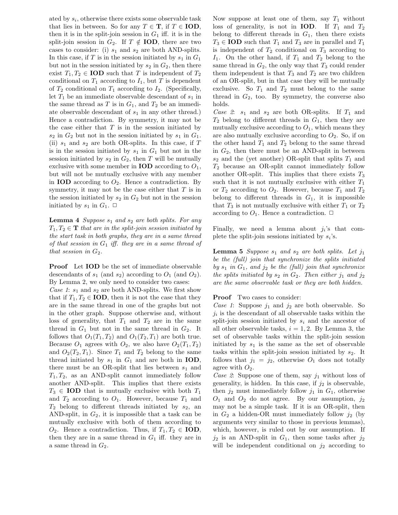ated by  $s_i$ , otherwise there exists some observable task that lies in between. So for any  $T \in \mathbf{T}$ , if  $T \in \mathbf{IOD}$ , then it is in the split-join session in  $G_1$  iff. it is in the split-join session in  $G_2$ . If  $T \notin IOD$ , there are two cases to consider: (i)  $s_1$  and  $s_2$  are both AND-splits. In this case, if T is in the session initiated by  $s_1$  in  $G_1$ but not in the session initiated by  $s_2$  in  $G_2$ , then there exist  $T_1, T_2 \in \text{IOD}$  such that T is independent of  $T_2$ conditional on  $T_1$  according to  $I_1$ , but T is dependent of  $T_2$  conditional on  $T_1$  according to  $I_2$ . (Specifically, let  $T_1$  be an immediate observable descendant of  $s_1$  in the same thread as T is in  $G_1$ , and  $T_2$  be an immediate observable descendant of  $s_1$  in any other thread.) Hence a contradiction. By symmetry, it may not be the case either that  $T$  is in the session initiated by  $s_2$  in  $G_2$  but not in the session initiated by  $s_1$  in  $G_1$ . (ii)  $s_1$  and  $s_2$  are both OR-splits. In this case, if T is in the session initiated by  $s_1$  in  $G_1$  but not in the session initiated by  $s_2$  in  $G_2$ , then T will be mutually exclusive with some member in **IOD** according to  $O_1$ , but will not be mutually exclusive with any member in **IOD** according to  $O_2$ . Hence a contradiction. By symmetry, it may not be the case either that  $T$  is in the session initiated by  $s_2$  in  $G_2$  but not in the session initiated by  $s_1$  in  $G_1$ .  $\Box$ 

**Lemma 4** Suppose  $s_1$  and  $s_2$  are both splits. For any  $T_1, T_2 \in \mathbf{T}$  that are in the split-join session initiated by the start task in both graphs, they are in a same thread of that session in  $G_1$  iff. they are in a same thread of that session in  $G_2$ .

Proof Let IOD be the set of immediate observable descendants of  $s_1$  (and  $s_2$ ) according to  $O_1$  (and  $O_2$ ). By Lemma 2, we only need to consider two cases:

*Case 1*:  $s_1$  and  $s_2$  are both AND-splits. We first show that if  $T_1, T_2 \in \text{IOD}$ , then it is not the case that they are in the same thread in one of the graphs but not in the other graph. Suppose otherwise and, without loss of generality, that  $T_1$  and  $T_2$  are in the same thread in  $G_1$  but not in the same thread in  $G_2$ . It follows that  $O_1(T_1, T_2)$  and  $O_1(T_2, T_1)$  are both true. Because  $O_1$  agrees with  $O_2$ , we also have  $O_2(T_1, T_2)$ and  $O_2(T_2,T_1)$ . Since  $T_1$  and  $T_2$  belong to the same thread initiated by  $s_1$  in  $G_1$  and are both in **IOD**, there must be an OR-split that lies between  $s_1$  and  $T_1, T_2$ , as an AND-split cannot immediately follow another AND-split. This implies that there exists  $T_3 \in \text{IOD}$  that is mutually exclusive with both  $T_1$ and  $T_2$  according to  $O_1$ . However, because  $T_1$  and  $T_2$  belong to different threads initiated by  $s_2$ , an AND-split, in  $G_2$ , it is impossible that a task can be mutually exclusive with both of them according to  $O_2$ . Hence a contradiction. Thus, if  $T_1, T_2 \in \textbf{IOD}$ , then they are in a same thread in  $G_1$  iff. they are in a same thread in  $G_2$ .

Now suppose at least one of them, say  $T_1$  without loss of generality, is not in **IOD**. If  $T_1$  and  $T_2$ belong to different threads in  $G_1$ , then there exists  $T_3 \in \text{IOD}$  such that  $T_1$  and  $T_3$  are in parallel and  $T_1$ is independent of  $T_2$  conditional on  $T_3$  according to  $I_1$ . On the other hand, if  $T_1$  and  $T_2$  belong to the same thread in  $G_2$ , the only way that  $T_3$  could render them independent is that  $T_3$  and  $T_2$  are two children of an OR-split, but in that case they will be mutually exclusive. So  $T_1$  and  $T_2$  must belong to the same thread in  $G_2$ , too. By symmetry, the converse also holds.

Case 2:  $s_1$  and  $s_2$  are both OR-splits. If  $T_1$  and  $T_2$  belong to different threads in  $G_1$ , then they are mutually exclusive according to  $O_1$ , which means they are also mutually exclusive according to  $O_2$ . So, if on the other hand  $T_1$  and  $T_2$  belong to the same thread in  $G_2$ , then there must be an AND-split in between  $s_2$  and the (yet another) OR-split that splits  $T_1$  and  $T_2$  because an OR-split cannot immediately follow another OR-split. This implies that there exists  $T_3$ such that it is not mutually exclusive with either  $T_1$ or  $T_2$  according to  $O_2$ . However, because  $T_1$  and  $T_2$ belong to different threads in  $G_1$ , it is impossible that  $T_3$  is not mutually exclusive with either  $T_1$  or  $T_2$ according to  $O_1$ . Hence a contradiction.  $\Box$ 

Finally, we need a lemma about  $j_i$ 's that complete the split-join sessions initiated by  $s_i$ 's.

**Lemma 5** Suppose  $s_1$  and  $s_2$  are both splits. Let  $j_1$ be the (full) join that synchronize the splits initiated by  $s_1$  in  $G_1$ , and  $j_2$  be the (full) join that synchronize the splits initiated by  $s_2$  in  $G_2$ . Then either  $j_1$  and  $j_2$ are the same observable task or they are both hidden.

#### **Proof** Two cases to consider:

Case 1: Suppose  $j_1$  and  $j_2$  are both observable. So  $j_i$  is the descendant of all observable tasks within the split-join session initiated by  $s_i$  and the ancestor of all other observable tasks,  $i = 1, 2$ . By Lemma 3, the set of observable tasks within the split-join session initiated by  $s_1$  is the same as the set of observable tasks within the split-join session initiated by  $s_2$ . It follows that  $j_1 = j_2$ , otherwise  $O_1$  does not totally agree with  $O_2$ .

Case 2: Suppose one of them, say  $j_1$  without loss of generality, is hidden. In this case, if  $j_2$  is observable, then  $j_2$  must immediately follow  $j_1$  in  $G_1$ , otherwise  $O_1$  and  $O_2$  do not agree. By our assumption,  $j_2$ may not be a simple task. If it is an OR-split, then in  $G_2$  a hidden-OR must immediately follow  $j_2$  (by arguments very similar to those in previous lemmas), which, however, is ruled out by our assumption. If  $j_2$  is an AND-split in  $G_1$ , then some tasks after  $j_2$ will be independent conditional on  $j_2$  according to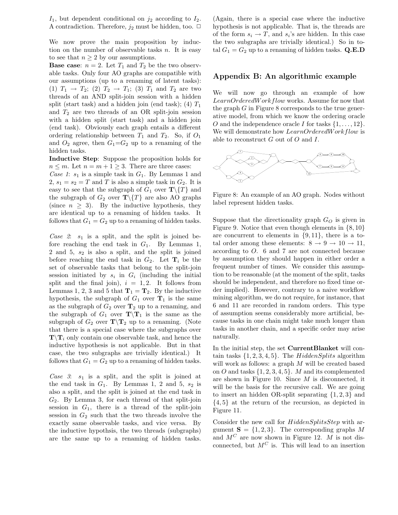$I_1$ , but dependent conditional on  $j_2$  according to  $I_2$ . A contradiction. Therefore,  $j_2$  must be hidden, too.  $\Box$ 

We now prove the main proposition by induction on the number of observable tasks  $n$ . It is easy to see that  $n \geq 2$  by our assumptions.

**Base case:**  $n = 2$ . Let  $T_1$  and  $T_2$  be the two observable tasks. Only four AO graphs are compatible with our assumptions (up to a renaming of latent tasks): (1)  $T_1 \to T_2$ ; (2)  $T_2 \to T_1$ ; (3)  $T_1$  and  $T_2$  are two threads of an AND split-join session with a hidden split (start task) and a hidden join (end task); (4)  $T_1$ and  $T_2$  are two threads of an OR split-join session with a hidden split (start task) and a hidden join (end task). Obviously each graph entails a different ordering relationship between  $T_1$  and  $T_2$ . So, if  $O_1$ and  $O_2$  agree, then  $G_1 = G_2$  up to a renaming of the hidden tasks.

Inductive Step: Suppose the proposition holds for  $n \leq m$ . Let  $n = m + 1 \geq 3$ . There are three cases:

Case 1:  $s_1$  is a simple task in  $G_1$ . By Lemmas 1 and 2,  $s_1 = s_2 = T$  and T is also a simple task in  $G_2$ . It is easy to see that the subgraph of  $G_1$  over  $\mathbf{T}\setminus\{T\}$  and the subgraph of  $G_2$  over  $\mathbf{T}\setminus\{T\}$  are also AO graphs (since  $n \geq 3$ ). By the inductive hypothesis, they are identical up to a renaming of hidden tasks. It follows that  $G_1 = G_2$  up to a renaming of hidden tasks.

Case 2:  $s_1$  is a split, and the split is joined before reaching the end task in  $G_1$ . By Lemmas 1, 2 and 5,  $s_2$  is also a split, and the split is joined before reaching the end task in  $G_2$ . Let  $\mathbf{T}_i$  be the set of observable tasks that belong to the split-join session initiated by  $s_i$  in  $G_i$  (including the initial split and the final join),  $i = 1, 2$ . It follows from Lemmas 1, 2, 3 and 5 that  $T_1 = T_2$ . By the inductive hypothesis, the subgraph of  $G_1$  over  $\mathbf{T}_1$  is the same as the subgraph of  $G_2$  over  $T_2$  up to a renaming, and the subgraph of  $G_1$  over  $\mathbf{T}\setminus\mathbf{T}_1$  is the same as the subgraph of  $G_2$  over  $\mathbf{T}\setminus\mathbf{T}_2$  up to a renaming. (Note that there is a special case where the subgraphs over  $\mathbf{T}\setminus\mathbf{T}_i$  only contain one observable task, and hence the inductive hypothesis is not applicable. But in that case, the two subgraphs are trivially identical.) It follows that  $G_1 = G_2$  up to a renaming of hidden tasks.

Case  $3: s_1$  is a split, and the split is joined at the end task in  $G_1$ . By Lemmas 1, 2 and 5,  $s_2$  is also a split, and the split is joined at the end task in  $G_2$ . By Lemma 3, for each thread of that split-join session in  $G_1$ , there is a thread of the split-join session in  $G_2$  such that the two threads involve the exactly same observable tasks, and vice versa. By the inductive hypothsis, the two threads (subgraphs) are the same up to a renaming of hidden tasks.

(Again, there is a special case where the inductive hypothesis is not applicable. That is, the threads are of the form  $s_i \to T$ , and  $s_i$ 's are hidden. In this case the two subgraphs are trivially identical.) So in total  $G_1 = G_2$  up to a renaming of hidden tasks. Q.E.D

## Appendix B: An algorithmic example

We will now go through an example of how LearnOrderedWorkflow works. Assume for now that the graph  $G$  in Figure 8 corresponds to the true generative model, from which we know the ordering oracle O and the independence oracle I for tasks  $\{1, \ldots, 12\}$ . We will demonstrate how LearnOrderedWorkflow is able to reconstruct  $G$  out of  $O$  and  $I$ .



Figure 8: An example of an AO graph. Nodes without label represent hidden tasks.

Suppose that the directionality graph  $G_O$  is given in Figure 9. Notice that even though elements in  $\{8, 10\}$ are concurrent to elements in  $\{9, 11\}$ , there is a total order among these elements:  $8 \rightarrow 9 \rightarrow 10 \rightarrow 11$ , according to O. 6 and 7 are not connected because by assumption they should happen in either order a frequent number of times. We consider this assumption to be reasonable (at the moment of the split, tasks should be independent, and therefore no fixed time order implied). However, contrary to a naive workflow mining algorithm, we do not require, for instance, that 6 and 11 are recorded in random orders. This type of assumption seems considerably more artificial, because tasks in one chain might take much longer than tasks in another chain, and a specific order may arise naturally.

In the initial step, the set **CurrentBlanket** will contain tasks  $\{1, 2, 3, 4, 5\}$ . The HiddenSplits algorithm will work as follows: a graph M will be created based on O and tasks  $\{1, 2, 3, 4, 5\}$ . M and its complemented are shown in Figure 10. Since M is disconnected, it will be the basis for the recursive call. We are going to insert an hidden OR-split separating {1, 2, 3} and {4, 5} at the return of the recursion, as depicted in Figure 11.

Consider the new call for  $HiddenSplitsStep$  with argument  $S = \{1, 2, 3\}$ . The corresponding graphs M and  $M^C$  are now shown in Figure 12. M is not disconnected, but  $M^C$  is. This will lead to an insertion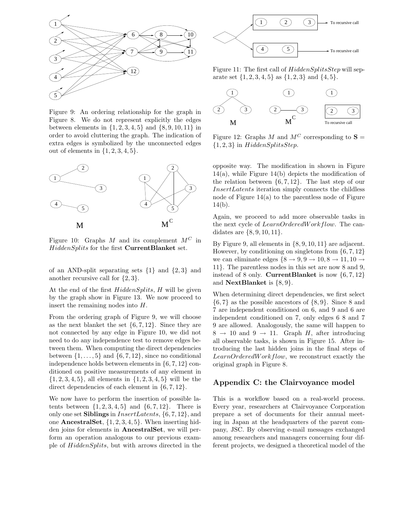

Figure 9: An ordering relationship for the graph in Figure 8. We do not represent explicitly the edges between elements in  $\{1, 2, 3, 4, 5\}$  and  $\{8, 9, 10, 11\}$  in order to avoid cluttering the graph. The indication of extra edges is symbolized by the unconnected edges out of elements in  $\{1, 2, 3, 4, 5\}.$ 



Figure 10: Graphs M and its complement  $M^C$  in HiddenSplits for the first CurrentBlanket set.

of an AND-split separating sets  $\{1\}$  and  $\{2,3\}$  and another recursive call for  $\{2,3\}.$ 

At the end of the first  $HiddenSplits$ , H will be given by the graph show in Figure 13. We now proceed to insert the remaining nodes into H.

From the ordering graph of Figure 9, we will choose as the next blanket the set  $\{6, 7, 12\}$ . Since they are not connected by any edge in Figure 10, we did not need to do any independence test to remove edges between them. When computing the direct dependencies between  $\{1, \ldots, 5\}$  and  $\{6, 7, 12\}$ , since no conditional independence holds between elements in {6, 7, 12} conditioned on positive measurements of any element in  $\{1, 2, 3, 4, 5\}$ , all elements in  $\{1, 2, 3, 4, 5\}$  will be the direct dependencies of each element in  $\{6, 7, 12\}.$ 

We now have to perform the insertion of possible latents between  $\{1, 2, 3, 4, 5\}$  and  $\{6, 7, 12\}$ . There is only one set Siblings in InsertLatents, {6, 7, 12}, and one **AncestralSet**,  $\{1, 2, 3, 4, 5\}$ . When inserting hidden joins for elements in AncestralSet, we will perform an operation analogous to our previous example of HiddenSplits, but with arrows directed in the



Figure 11: The first call of  $HiddenSplitsStep$  will separate set  $\{1, 2, 3, 4, 5\}$  as  $\{1, 2, 3\}$  and  $\{4, 5\}$ .



Figure 12: Graphs M and  $M^C$  corresponding to  $S =$  ${1, 2, 3}$  in HiddenSplitsStep.

opposite way. The modification in shown in Figure 14(a), while Figure 14(b) depicts the modification of the relation between  $\{6, 7, 12\}$ . The last step of our InsertLatents iteration simply connects the childless node of Figure  $14(a)$  to the parentless node of Figure 14(b).

Again, we proceed to add more observable tasks in the next cycle of LearnOrderedWorkflow. The candidates are {8, 9, 10, 11}.

By Figure 9, all elements in {8, 9, 10, 11} are adjacent. However, by conditioning on singletons from  $\{6, 7, 12\}$ we can eliminate edges  $\{8 \rightarrow 9, 9 \rightarrow 10, 8 \rightarrow 11, 10 \rightarrow$ 11}. The parentless nodes in this set are now 8 and 9, instead of 8 only. **CurrentBlanket** is now  $\{6, 7, 12\}$ and **NextBlanket** is  $\{8, 9\}$ .

When determining direct dependencies, we first select  $\{6, 7\}$  as the possible ancestors of  $\{8, 9\}$ . Since 8 and 7 are independent conditioned on 6, and 9 and 6 are independent conditioned on 7, only edges 6 8 and 7 9 are allowed. Analogously, the same will happen to  $8 \rightarrow 10$  and  $9 \rightarrow 11$ . Graph H, after introducing all observable tasks, is shown in Figure 15. After introducing the last hidden joins in the final steps of LearnOrderedWorkflow, we reconstruct exactly the original graph in Figure 8.

# Appendix C: the Clairvoyance model

This is a workflow based on a real-world process. Every year, researchers at Clairvoyance Corporation prepare a set of documents for their annual meeting in Japan at the headquarters of the parent company, JSC. By observing e-mail messages exchanged among researchers and managers concerning four different projects, we designed a theoretical model of the